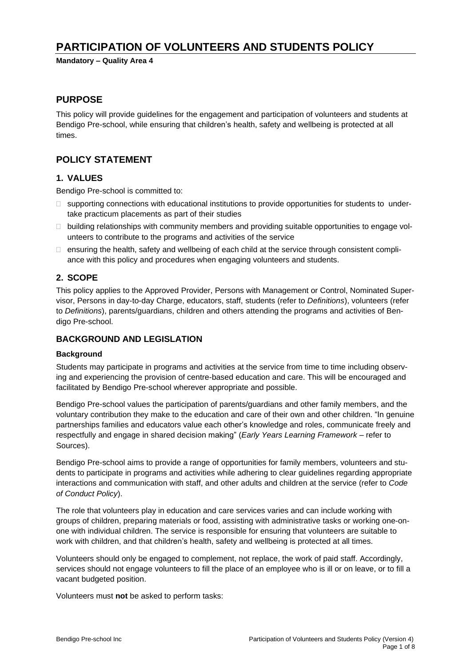# **PARTICIPATION OF VOLUNTEERS AND STUDENTS POLICY**

**Mandatory – Quality Area 4**

### **PURPOSE**

This policy will provide guidelines for the engagement and participation of volunteers and students at Bendigo Pre-school, while ensuring that children's health, safety and wellbeing is protected at all times.

### **POLICY STATEMENT**

### **1. VALUES**

Bendigo Pre-school is committed to:

- $\square$  supporting connections with educational institutions to provide opportunities for students to undertake practicum placements as part of their studies
- $\Box$  building relationships with community members and providing suitable opportunities to engage volunteers to contribute to the programs and activities of the service
- $\Box$  ensuring the health, safety and wellbeing of each child at the service through consistent compliance with this policy and procedures when engaging volunteers and students.

### **2. SCOPE**

This policy applies to the Approved Provider, Persons with Management or Control, Nominated Supervisor, Persons in day-to-day Charge, educators, staff, students (refer to *Definitions*), volunteers (refer to *Definitions*), parents/guardians, children and others attending the programs and activities of Bendigo Pre-school.

### **BACKGROUND AND LEGISLATION**

### **Background**

Students may participate in programs and activities at the service from time to time including observing and experiencing the provision of centre-based education and care. This will be encouraged and facilitated by Bendigo Pre-school wherever appropriate and possible.

Bendigo Pre-school values the participation of parents/guardians and other family members, and the voluntary contribution they make to the education and care of their own and other children. "In genuine partnerships families and educators value each other's knowledge and roles, communicate freely and respectfully and engage in shared decision making" (*Early Years Learning Framework –* refer to Sources).

Bendigo Pre-school aims to provide a range of opportunities for family members, volunteers and students to participate in programs and activities while adhering to clear guidelines regarding appropriate interactions and communication with staff, and other adults and children at the service (refer to *Code of Conduct Policy*).

The role that volunteers play in education and care services varies and can include working with groups of children, preparing materials or food, assisting with administrative tasks or working one-onone with individual children. The service is responsible for ensuring that volunteers are suitable to work with children, and that children's health, safety and wellbeing is protected at all times.

Volunteers should only be engaged to complement, not replace, the work of paid staff. Accordingly, services should not engage volunteers to fill the place of an employee who is ill or on leave, or to fill a vacant budgeted position.

Volunteers must **not** be asked to perform tasks: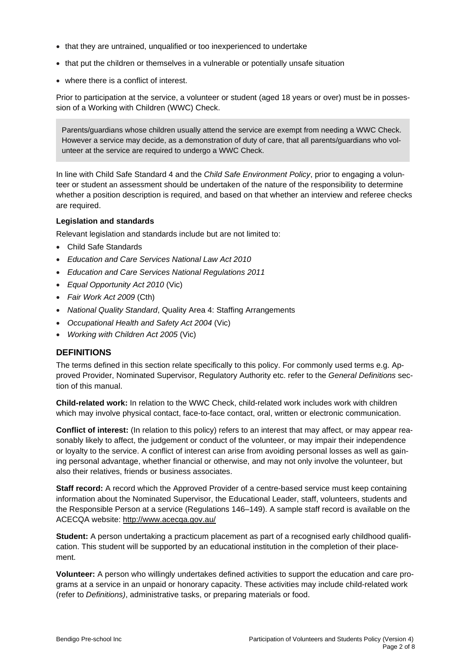- that they are untrained, unqualified or too inexperienced to undertake
- that put the children or themselves in a vulnerable or potentially unsafe situation
- where there is a conflict of interest.

Prior to participation at the service, a volunteer or student (aged 18 years or over) must be in possession of a Working with Children (WWC) Check.

Parents/guardians whose children usually attend the service are exempt from needing a WWC Check. However a service may decide, as a demonstration of duty of care, that all parents/guardians who volunteer at the service are required to undergo a WWC Check.

In line with Child Safe Standard 4 and the *Child Safe Environment Policy*, prior to engaging a volunteer or student an assessment should be undertaken of the nature of the responsibility to determine whether a position description is required, and based on that whether an interview and referee checks are required.

### **Legislation and standards**

Relevant legislation and standards include but are not limited to:

- Child Safe Standards
- *Education and Care Services National Law Act 2010*
- *Education and Care Services National Regulations 2011*
- *Equal Opportunity Act 2010* (Vic)
- *Fair Work Act 2009* (Cth)
- *National Quality Standard*, Quality Area 4: Staffing Arrangements
- *Occupational Health and Safety Act 2004* (Vic)
- *Working with Children Act 2005* (Vic)

### **DEFINITIONS**

The terms defined in this section relate specifically to this policy. For commonly used terms e.g. Approved Provider, Nominated Supervisor, Regulatory Authority etc. refer to the *General Definitions* section of this manual.

**Child-related work:** In relation to the WWC Check, child-related work includes work with children which may involve physical contact, face-to-face contact, oral, written or electronic communication.

**Conflict of interest:** (In relation to this policy) refers to an interest that may affect, or may appear reasonably likely to affect, the judgement or conduct of the volunteer, or may impair their independence or loyalty to the service. A conflict of interest can arise from avoiding personal losses as well as gaining personal advantage, whether financial or otherwise, and may not only involve the volunteer, but also their relatives, friends or business associates.

**Staff record:** A record which the Approved Provider of a centre-based service must keep containing information about the Nominated Supervisor, the Educational Leader, staff, volunteers, students and the Responsible Person at a service (Regulations 146–149). A sample staff record is available on the ACECQA website: <http://www.acecqa.gov.au/>

**Student:** A person undertaking a practicum placement as part of a recognised early childhood qualification. This student will be supported by an educational institution in the completion of their placement.

**Volunteer:** A person who willingly undertakes defined activities to support the education and care programs at a service in an unpaid or honorary capacity. These activities may include child-related work (refer to *Definitions)*, administrative tasks, or preparing materials or food.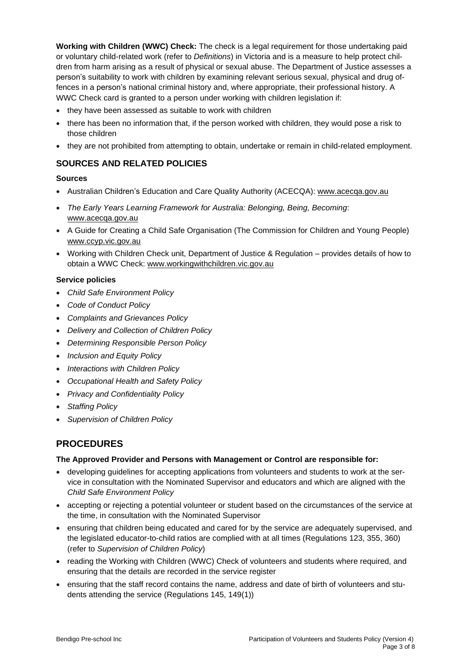**Working with Children (WWC) Check:** The check is a legal requirement for those undertaking paid or voluntary child-related work (refer to *Definitions*) in Victoria and is a measure to help protect children from harm arising as a result of physical or sexual abuse. The Department of Justice assesses a person's suitability to work with children by examining relevant serious sexual, physical and drug offences in a person's national criminal history and, where appropriate, their professional history. A WWC Check card is granted to a person under working with children legislation if:

- they have been assessed as suitable to work with children
- there has been no information that, if the person worked with children, they would pose a risk to those children
- they are not prohibited from attempting to obtain, undertake or remain in child-related employment.

### **SOURCES AND RELATED POLICIES**

### **Sources**

- Australian Children's Education and Care Quality Authority (ACECQA): [www.acecqa.gov.au](http://www.acecqa.gov.au/)
- *The Early Years Learning Framework for Australia: Belonging, Being, Becoming*: [www.acecqa.gov.au](file://///kpv-sbs/data/BD&G/Communications/Publications/Policy%20Works/2017%20Final%20PolicyWorks/www.acecqa.gov.au)
- A Guide for Creating a Child Safe Organisation (The Commission for Children and Young People) [www.ccyp.vic.gov.au](file://///kpv-sbs/data/BD&G/Communications/Publications/Policy%20Works/2017%20Final%20PolicyWorks/www.ccyp.vic.gov.au)
- Working with Children Check unit, Department of Justice & Regulation provides details of how to obtain a WWC Check: [www.workingwithchildren.vic.gov.au](file://///kpv-sbs/data/BD&G/Communications/Publications/Policy%20Works/2017%20Final%20PolicyWorks/www.workingwithchildren.vic.gov.au)

#### **Service policies**

- *Child Safe Environment Policy*
- *Code of Conduct Policy*
- *Complaints and Grievances Policy*
- *Delivery and Collection of Children Policy*
- *Determining Responsible Person Policy*
- *Inclusion and Equity Policy*
- *Interactions with Children Policy*
- *Occupational Health and Safety Policy*
- *Privacy and Confidentiality Policy*
- *Staffing Policy*
- *Supervision of Children Policy*

## **PROCEDURES**

### **The Approved Provider and Persons with Management or Control are responsible for:**

- developing guidelines for accepting applications from volunteers and students to work at the service in consultation with the Nominated Supervisor and educators and which are aligned with the *Child Safe Environment Policy*
- accepting or rejecting a potential volunteer or student based on the circumstances of the service at the time, in consultation with the Nominated Supervisor
- ensuring that children being educated and cared for by the service are adequately supervised, and the legislated educator-to-child ratios are complied with at all times (Regulations 123, 355, 360) (refer to *Supervision of Children Policy*)
- reading the Working with Children (WWC) Check of volunteers and students where required, and ensuring that the details are recorded in the service register
- ensuring that the staff record contains the name, address and date of birth of volunteers and students attending the service (Regulations 145, 149(1))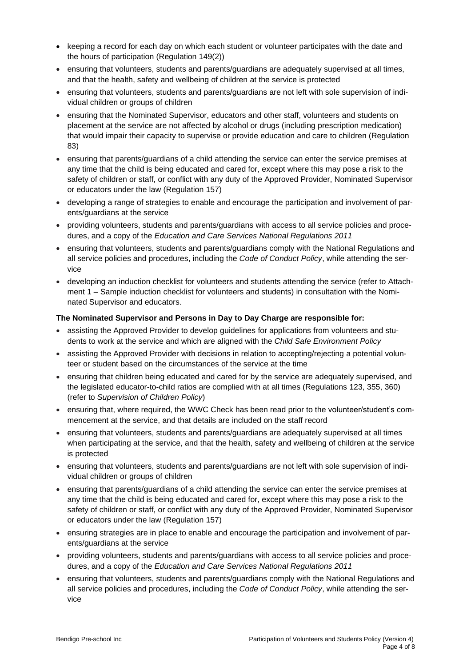- keeping a record for each day on which each student or volunteer participates with the date and the hours of participation (Regulation 149(2))
- ensuring that volunteers, students and parents/guardians are adequately supervised at all times, and that the health, safety and wellbeing of children at the service is protected
- ensuring that volunteers, students and parents/guardians are not left with sole supervision of individual children or groups of children
- ensuring that the Nominated Supervisor, educators and other staff, volunteers and students on placement at the service are not affected by alcohol or drugs (including prescription medication) that would impair their capacity to supervise or provide education and care to children (Regulation 83)
- ensuring that parents/guardians of a child attending the service can enter the service premises at any time that the child is being educated and cared for, except where this may pose a risk to the safety of children or staff, or conflict with any duty of the Approved Provider, Nominated Supervisor or educators under the law (Regulation 157)
- developing a range of strategies to enable and encourage the participation and involvement of parents/guardians at the service
- providing volunteers, students and parents/guardians with access to all service policies and procedures, and a copy of the *Education and Care Services National Regulations 2011*
- ensuring that volunteers, students and parents/guardians comply with the National Regulations and all service policies and procedures, including the *Code of Conduct Policy*, while attending the service
- developing an induction checklist for volunteers and students attending the service (refer to Attachment 1 – Sample induction checklist for volunteers and students) in consultation with the Nominated Supervisor and educators.

### **The Nominated Supervisor and Persons in Day to Day Charge are responsible for:**

- assisting the Approved Provider to develop guidelines for applications from volunteers and students to work at the service and which are aligned with the *Child Safe Environment Policy*
- assisting the Approved Provider with decisions in relation to accepting/rejecting a potential volunteer or student based on the circumstances of the service at the time
- ensuring that children being educated and cared for by the service are adequately supervised, and the legislated educator-to-child ratios are complied with at all times (Regulations 123, 355, 360) (refer to *Supervision of Children Policy*)
- ensuring that, where required, the WWC Check has been read prior to the volunteer/student's commencement at the service, and that details are included on the staff record
- ensuring that volunteers, students and parents/guardians are adequately supervised at all times when participating at the service, and that the health, safety and wellbeing of children at the service is protected
- ensuring that volunteers, students and parents/guardians are not left with sole supervision of individual children or groups of children
- ensuring that parents/guardians of a child attending the service can enter the service premises at any time that the child is being educated and cared for, except where this may pose a risk to the safety of children or staff, or conflict with any duty of the Approved Provider, Nominated Supervisor or educators under the law (Regulation 157)
- ensuring strategies are in place to enable and encourage the participation and involvement of parents/guardians at the service
- providing volunteers, students and parents/guardians with access to all service policies and procedures, and a copy of the *Education and Care Services National Regulations 2011*
- ensuring that volunteers, students and parents/guardians comply with the National Regulations and all service policies and procedures, including the *Code of Conduct Policy*, while attending the service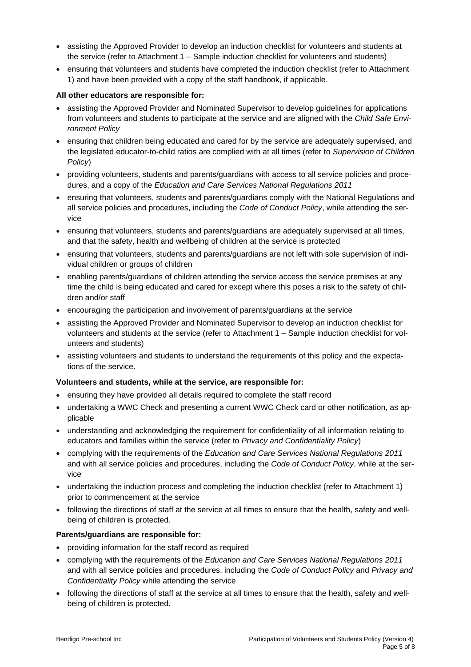- assisting the Approved Provider to develop an induction checklist for volunteers and students at the service (refer to Attachment 1 – Sample induction checklist for volunteers and students)
- ensuring that volunteers and students have completed the induction checklist (refer to Attachment 1) and have been provided with a copy of the staff handbook, if applicable.

#### **All other educators are responsible for:**

- assisting the Approved Provider and Nominated Supervisor to develop guidelines for applications from volunteers and students to participate at the service and are aligned with the *Child Safe Environment Policy*
- ensuring that children being educated and cared for by the service are adequately supervised, and the legislated educator-to-child ratios are complied with at all times (refer to *Supervision of Children Policy*)
- providing volunteers, students and parents/guardians with access to all service policies and procedures, and a copy of the *Education and Care Services National Regulations 2011*
- ensuring that volunteers, students and parents/guardians comply with the National Regulations and all service policies and procedures, including the *Code of Conduct Policy*, while attending the service
- ensuring that volunteers, students and parents/guardians are adequately supervised at all times, and that the safety, health and wellbeing of children at the service is protected
- ensuring that volunteers, students and parents/guardians are not left with sole supervision of individual children or groups of children
- enabling parents/guardians of children attending the service access the service premises at any time the child is being educated and cared for except where this poses a risk to the safety of children and/or staff
- encouraging the participation and involvement of parents/guardians at the service
- assisting the Approved Provider and Nominated Supervisor to develop an induction checklist for volunteers and students at the service (refer to Attachment 1 – Sample induction checklist for volunteers and students)
- assisting volunteers and students to understand the requirements of this policy and the expectations of the service.

### **Volunteers and students, while at the service, are responsible for:**

- ensuring they have provided all details required to complete the staff record
- undertaking a WWC Check and presenting a current WWC Check card or other notification, as applicable
- understanding and acknowledging the requirement for confidentiality of all information relating to educators and families within the service (refer to *Privacy and Confidentiality Policy*)
- complying with the requirements of the *Education and Care Services National Regulations 2011* and with all service policies and procedures, including the *Code of Conduct Policy*, while at the service
- undertaking the induction process and completing the induction checklist (refer to Attachment 1) prior to commencement at the service
- following the directions of staff at the service at all times to ensure that the health, safety and wellbeing of children is protected.

### **Parents/guardians are responsible for:**

- providing information for the staff record as required
- complying with the requirements of the *Education and Care Services National Regulations 2011* and with all service policies and procedures, including the *Code of Conduct Policy* and *Privacy and Confidentiality Policy* while attending the service
- following the directions of staff at the service at all times to ensure that the health, safety and wellbeing of children is protected.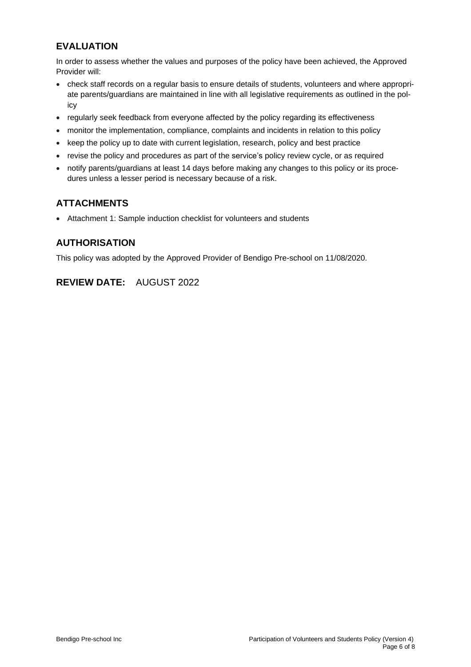## **EVALUATION**

In order to assess whether the values and purposes of the policy have been achieved, the Approved Provider will:

- check staff records on a regular basis to ensure details of students, volunteers and where appropriate parents/guardians are maintained in line with all legislative requirements as outlined in the policy
- regularly seek feedback from everyone affected by the policy regarding its effectiveness
- monitor the implementation, compliance, complaints and incidents in relation to this policy
- keep the policy up to date with current legislation, research, policy and best practice
- revise the policy and procedures as part of the service's policy review cycle, or as required
- notify parents/guardians at least 14 days before making any changes to this policy or its procedures unless a lesser period is necessary because of a risk.

## **ATTACHMENTS**

• Attachment 1: Sample induction checklist for volunteers and students

### **AUTHORISATION**

This policy was adopted by the Approved Provider of Bendigo Pre-school on 11/08/2020.

## **REVIEW DATE:** AUGUST 2022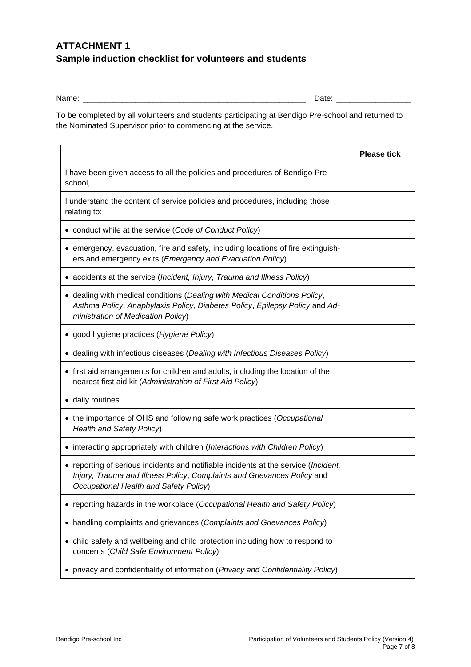## **ATTACHMENT 1 Sample induction checklist for volunteers and students**

Name: \_\_\_\_\_\_\_\_\_\_\_\_\_\_\_\_\_\_\_\_\_\_\_\_\_\_\_\_\_\_\_\_\_\_\_\_\_\_\_\_\_\_\_\_\_\_\_\_\_\_\_ Date: \_\_\_\_\_\_\_\_\_\_\_\_\_\_\_\_\_

To be completed by all volunteers and students participating at Bendigo Pre-school and returned to the Nominated Supervisor prior to commencing at the service.

|                                                                                                                                                                                                                   | <b>Please tick</b> |
|-------------------------------------------------------------------------------------------------------------------------------------------------------------------------------------------------------------------|--------------------|
| I have been given access to all the policies and procedures of Bendigo Pre-<br>school,                                                                                                                            |                    |
| I understand the content of service policies and procedures, including those<br>relating to:                                                                                                                      |                    |
| • conduct while at the service (Code of Conduct Policy)                                                                                                                                                           |                    |
| • emergency, evacuation, fire and safety, including locations of fire extinguish-<br>ers and emergency exits (Emergency and Evacuation Policy)                                                                    |                    |
| • accidents at the service (Incident, Injury, Trauma and Illness Policy)                                                                                                                                          |                    |
| • dealing with medical conditions (Dealing with Medical Conditions Policy,<br>Asthma Policy, Anaphylaxis Policy, Diabetes Policy, Epilepsy Policy and Ad-<br>ministration of Medication Policy)                   |                    |
| • good hygiene practices (Hygiene Policy)                                                                                                                                                                         |                    |
| • dealing with infectious diseases (Dealing with Infectious Diseases Policy)                                                                                                                                      |                    |
| • first aid arrangements for children and adults, including the location of the<br>nearest first aid kit (Administration of First Aid Policy)                                                                     |                    |
| • daily routines                                                                                                                                                                                                  |                    |
| • the importance of OHS and following safe work practices (Occupational<br>Health and Safety Policy)                                                                                                              |                    |
| • interacting appropriately with children (Interactions with Children Policy)                                                                                                                                     |                    |
| • reporting of serious incidents and notifiable incidents at the service ( <i>Incident</i> ,<br>Injury, Trauma and Illness Policy, Complaints and Grievances Policy and<br>Occupational Health and Safety Policy) |                    |
| • reporting hazards in the workplace (Occupational Health and Safety Policy)                                                                                                                                      |                    |
| handling complaints and grievances (Complaints and Grievances Policy)<br>$\bullet$                                                                                                                                |                    |
| • child safety and wellbeing and child protection including how to respond to<br>concerns (Child Safe Environment Policy)                                                                                         |                    |
| • privacy and confidentiality of information (Privacy and Confidentiality Policy)                                                                                                                                 |                    |